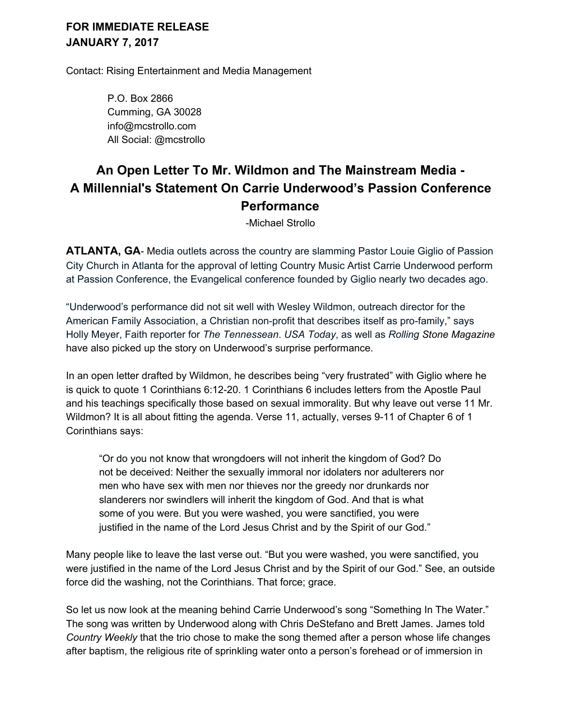## **FOR IMMEDIATE RELEASE JANUARY 7, 2017**

Contact: Rising Entertainment and Media Management

 P.O. Box 2866 Cumming, GA 30028 [info@mcstrollo.com](mailto:info@mcstrollo.com) All Social: @mcstrollo

## **An Open Letter To Mr. Wildmon and The Mainstream Media - A Millennial's Statement On Carrie Underwood's Passion Conference Performance**

-Michael Strollo

**ATLANTA, GA**- Media outlets across the country are slamming Pastor Louie Giglio of Passion City Church in Atlanta for the approval of letting Country Music Artist Carrie Underwood perform at Passion Conference, the Evangelical conference founded by Giglio nearly two decades ago.

"Underwood's performance did not sit well with Wesley Wildmon, outreach director for the American Family Association, a Christian non-profit that describes itself as pro-family," says Holly Meyer, Faith reporter for *The Tennessean*. *USA Today*, as well as *Rolling Stone Magazine* have also picked up the story on Underwood's surprise performance.

In an open letter drafted by Wildmon, he describes being "very frustrated" with Giglio where he is quick to quote 1 Corinthians 6:12-20. 1 Corinthians 6 includes letters from the Apostle Paul and his teachings specifically those based on sexual immorality. But why leave out verse 11 Mr. Wildmon? It is all about fitting the agenda. Verse 11, actually, verses 9-11 of Chapter 6 of 1 Corinthians says:

"Or do you not know that wrongdoers will not inherit the kingdom of God? Do not be deceived: Neither the sexually immoral nor idolaters nor adulterers nor men who have sex with men nor thieves nor the greedy nor drunkards nor slanderers nor swindlers will inherit the kingdom of God. And that is what some of you were. But you were washed, you were sanctified, you were justified in the name of the Lord Jesus Christ and by the Spirit of our God."

Many people like to leave the last verse out. "But you were washed, you were sanctified, you were justified in the name of the Lord Jesus Christ and by the Spirit of our God." See, an outside force did the washing, not the Corinthians. That force; grace.

So let us now look at the meaning behind Carrie Underwood's song "Something In The Water." The song was written by Underwood along with Chris DeStefano and Brett James. James told *[Country Weekly](https://en.wikipedia.org/wiki/Country_Weekly)* that the trio chose to make the song themed after a person whose life changes after baptism, the religious rite of sprinkling water onto a person's forehead or of immersion in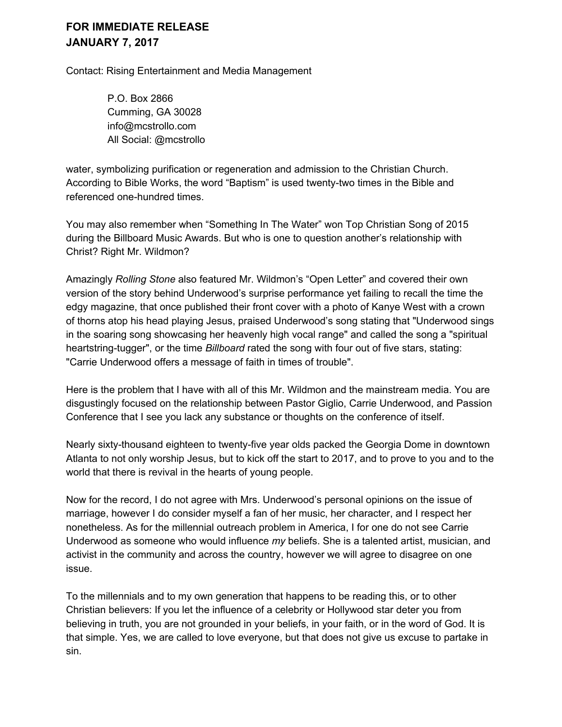## **FOR IMMEDIATE RELEASE JANUARY 7, 2017**

Contact: Rising Entertainment and Media Management

 P.O. Box 2866 Cumming, GA 30028 [info@mcstrollo.com](mailto:info@mcstrollo.com) All Social: @mcstrollo

water, symbolizing purification or regeneration and admission to the Christian Church. According to Bible Works, the word "Baptism" is used twenty-two times in the Bible and referenced one-hundred times.

You may also remember when "Something In The Water" won Top Christian Song of 2015 during the Billboard Music Awards. But who is one to question another's relationship with Christ? Right Mr. Wildmon?

Amazingly *Rolling Stone* also featured Mr. Wildmon's "Open Letter" and covered their own version of the story behind Underwood's surprise performance yet failing to recall the time the edgy magazine, that once published their front cover with a photo of Kanye West with a crown of thorns atop his head playing Jesus, praised Underwood's song stating that "Underwood sings in the soaring song showcasing her heavenly high vocal range" and called the song a "spiritual heartstring-tugger", or the time *[Billboard](https://en.wikipedia.org/wiki/Billboard_(magazine))* rated the song with four out of five stars, stating: "Carrie Underwood offers a message of faith in times of trouble".

Here is the problem that I have with all of this Mr. Wildmon and the mainstream media. You are disgustingly focused on the relationship between Pastor Giglio, Carrie Underwood, and Passion Conference that I see you lack any substance or thoughts on the conference of itself.

Nearly sixty-thousand eighteen to twenty-five year olds packed the Georgia Dome in downtown Atlanta to not only worship Jesus, but to kick off the start to 2017, and to prove to you and to the world that there is revival in the hearts of young people.

Now for the record, I do not agree with Mrs. Underwood's personal opinions on the issue of marriage, however I do consider myself a fan of her music, her character, and I respect her nonetheless. As for the millennial outreach problem in America, I for one do not see Carrie Underwood as someone who would influence *my* beliefs. She is a talented artist, musician, and activist in the community and across the country, however we will agree to disagree on one issue.

To the millennials and to my own generation that happens to be reading this, or to other Christian believers: If you let the influence of a celebrity or Hollywood star deter you from believing in truth, you are not grounded in your beliefs, in your faith, or in the word of God. It is that simple. Yes, we are called to love everyone, but that does not give us excuse to partake in sin.